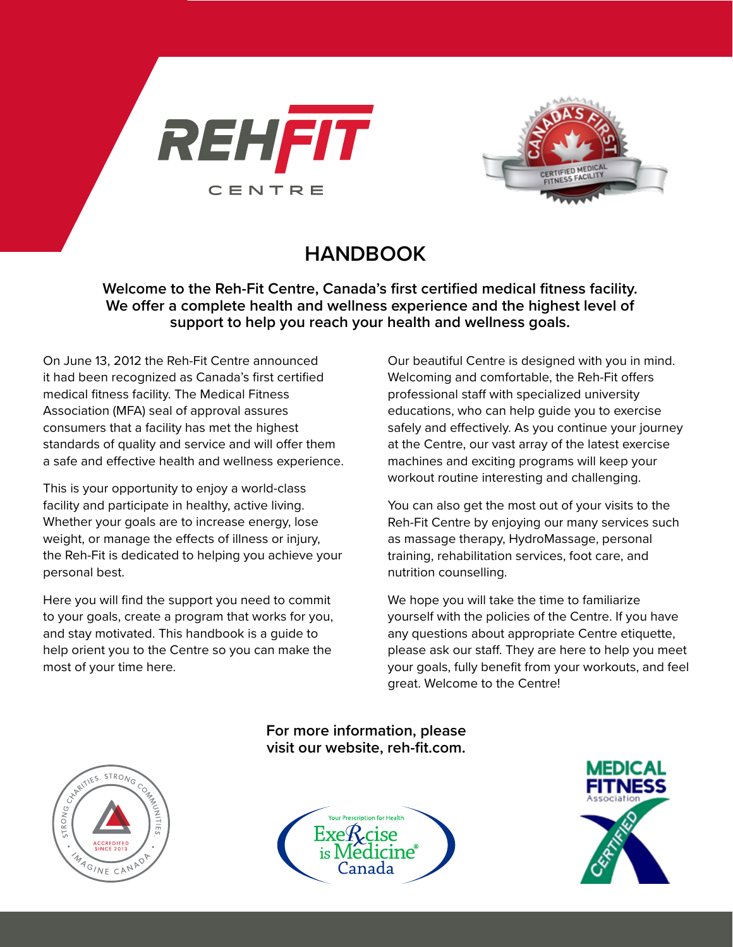



# **HANDBOOK**

**Welcome to the Reh-Fit Centre, Canada's first certified medical fitness facility. We offer a complete health and wellness experience and the highest level of support to help you reach your health and wellness goals.**

On June 13, 2012 the Reh-Fit Centre announced it had been recognized as Canada's first certified medical fitness facility. The Medical Fitness Association (MFA) seal of approval assures consumers that a facility has met the highest standards of quality and service and will offer them a safe and effective health and wellness experience.

This is your opportunity to enjoy a world-class facility and participate in healthy, active living. Whether your goals are to increase energy, lose weight, or manage the effects of illness or injury, the Reh-Fit is dedicated to helping you achieve your personal best.

Here you will find the support you need to commit to your goals, create a program that works for you, and stay motivated. This handbook is a guide to help orient you to the Centre so you can make the most of your time here.

Our beautiful Centre is designed with you in mind. Welcoming and comfortable, the Reh-Fit offers professional staff with specialized university educations, who can help guide you to exercise safely and effectively. As you continue your journey at the Centre, our vast array of the latest exercise machines and exciting programs will keep your workout routine interesting and challenging.

You can also get the most out of your visits to the Reh-Fit Centre by enjoying our many services such as massage therapy, HydroMassage, personal training, rehabilitation services, foot care, and nutrition counselling.

We hope you will take the time to familiarize yourself with the policies of the Centre. If you have any questions about appropriate Centre etiquette, please ask our staff. They are here to help you meet your goals, fully benefit from your workouts, and feel great. Welcome to the Centre!

**For more information, please visit our website, reh-fit.com.**





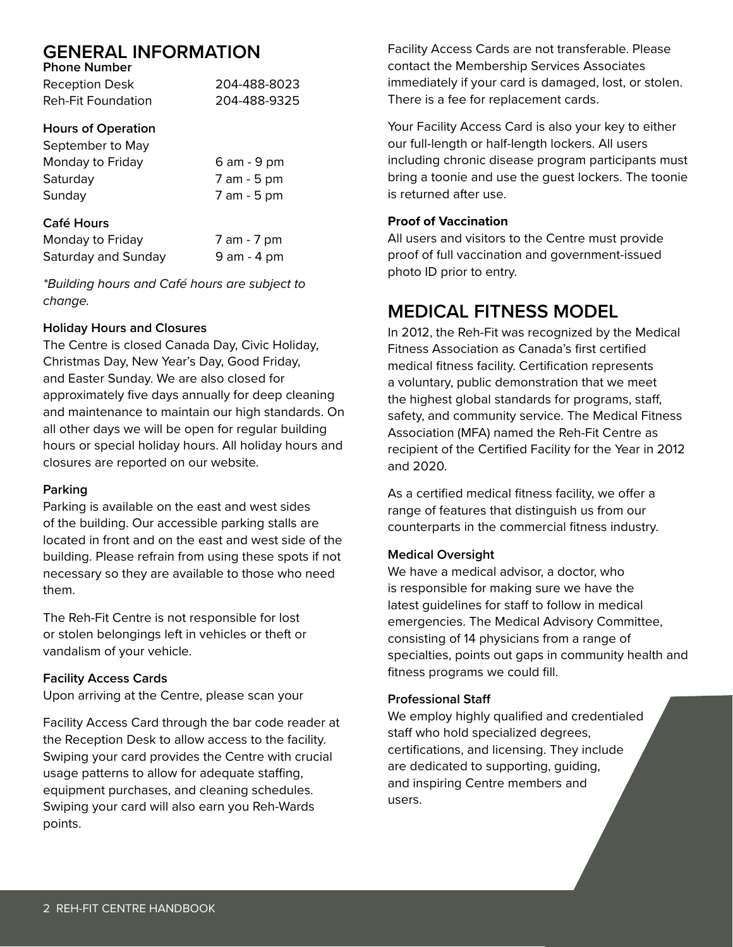# **GENERAL INFORMATION**

| <b>Phone Number</b> |              |
|---------------------|--------------|
| Reception Desk      | 204-488-8023 |
| Reh-Fit Foundation  | 204-488-9325 |

### **Hours of Operation**

| September to May |             |
|------------------|-------------|
| Monday to Friday | 6 am - 9 pm |
| Saturday         | 7 am - 5 pm |
| Sunday           | 7 am - 5 pm |
| Café Hours       |             |

| Monday to Friday    | 7 am - 7 pm     |
|---------------------|-----------------|
| Saturday and Sunday | $9$ am $-$ 4 pm |

*\*Building hours and Café hours are subject to change.*

### **Holiday Hours and Closures**

The Centre is closed Canada Day, Civic Holiday, Christmas Day, New Year's Day, Good Friday, and Easter Sunday. We are also closed for approximately five days annually for deep cleaning and maintenance to maintain our high standards. On all other days we will be open for regular building hours or special holiday hours. All holiday hours and closures are reported on our website.

#### **Parking**

Parking is available on the east and west sides of the building. Our accessible parking stalls are located in front and on the east and west side of the building. Please refrain from using these spots if not necessary so they are available to those who need them.

The Reh-Fit Centre is not responsible for lost or stolen belongings left in vehicles or theft or vandalism of your vehicle.

#### **Facility Access Cards**

Upon arriving at the Centre, please scan your

Facility Access Card through the bar code reader at the Reception Desk to allow access to the facility. Swiping your card provides the Centre with crucial usage patterns to allow for adequate staffing, equipment purchases, and cleaning schedules. Swiping your card will also earn you Reh-Wards points.

Facility Access Cards are not transferable. Please contact the Membership Services Associates immediately if your card is damaged, lost, or stolen. There is a fee for replacement cards.

Your Facility Access Card is also your key to either our full-length or half-length lockers. All users including chronic disease program participants must bring a toonie and use the guest lockers. The toonie is returned after use.

#### **Proof of Vaccination**

All users and visitors to the Centre must provide proof of full vaccination and government-issued photo ID prior to entry.

## **MEDICAL FITNESS MODEL**

In 2012, the Reh-Fit was recognized by the Medical Fitness Association as Canada's first certified medical fitness facility. Certification represents a voluntary, public demonstration that we meet the highest global standards for programs, staff, safety, and community service. The Medical Fitness Association (MFA) named the Reh-Fit Centre as recipient of the Certified Facility for the Year in 2012 and 2020.

As a certified medical fitness facility, we offer a range of features that distinguish us from our counterparts in the commercial fitness industry.

#### **Medical Oversight**

We have a medical advisor, a doctor, who is responsible for making sure we have the latest guidelines for staff to follow in medical emergencies. The Medical Advisory Committee, consisting of 14 physicians from a range of specialties, points out gaps in community health and fitness programs we could fill.

#### **Professional Staff**

We employ highly qualified and credentialed staff who hold specialized degrees, certifications, and licensing. They include are dedicated to supporting, guiding, and inspiring Centre members and users.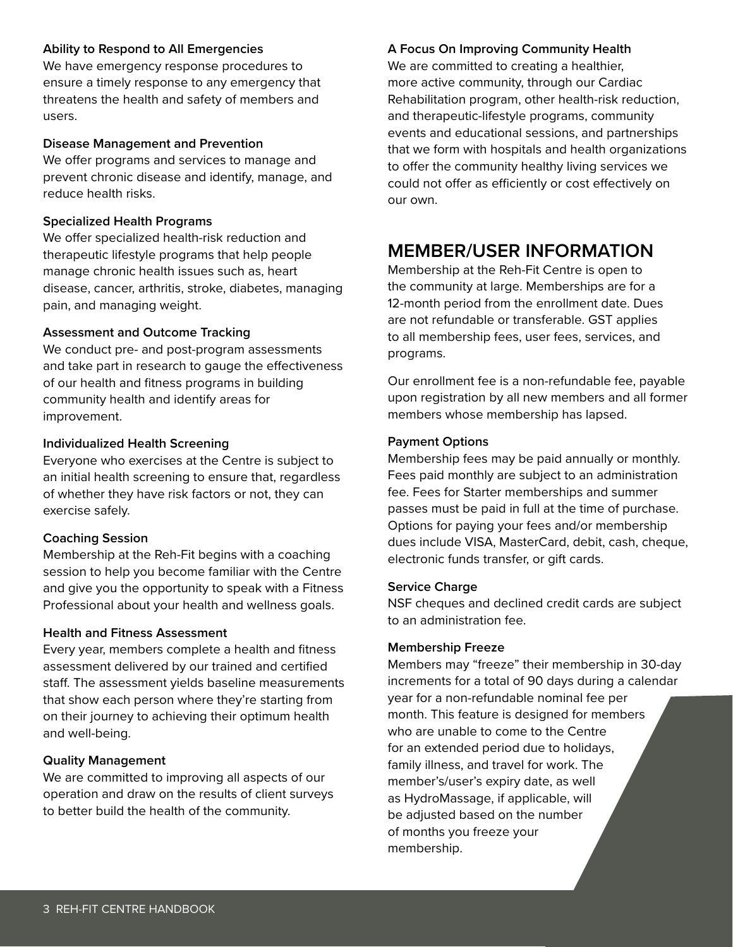#### **Ability to Respond to All Emergencies**

We have emergency response procedures to ensure a timely response to any emergency that threatens the health and safety of members and users.

#### **Disease Management and Prevention**

We offer programs and services to manage and prevent chronic disease and identify, manage, and reduce health risks.

#### **Specialized Health Programs**

We offer specialized health-risk reduction and therapeutic lifestyle programs that help people manage chronic health issues such as, heart disease, cancer, arthritis, stroke, diabetes, managing pain, and managing weight.

#### **Assessment and Outcome Tracking**

We conduct pre- and post-program assessments and take part in research to gauge the effectiveness of our health and fitness programs in building community health and identify areas for improvement.

#### **Individualized Health Screening**

Everyone who exercises at the Centre is subject to an initial health screening to ensure that, regardless of whether they have risk factors or not, they can exercise safely.

#### **Coaching Session**

Membership at the Reh-Fit begins with a coaching session to help you become familiar with the Centre and give you the opportunity to speak with a Fitness Professional about your health and wellness goals.

#### **Health and Fitness Assessment**

Every year, members complete a health and fitness assessment delivered by our trained and certified staff. The assessment yields baseline measurements that show each person where they're starting from on their journey to achieving their optimum health and well-being.

#### **Quality Management**

We are committed to improving all aspects of our operation and draw on the results of client surveys to better build the health of the community.

#### **A Focus On Improving Community Health**

We are committed to creating a healthier, more active community, through our Cardiac Rehabilitation program, other health-risk reduction, and therapeutic-lifestyle programs, community events and educational sessions, and partnerships that we form with hospitals and health organizations to offer the community healthy living services we could not offer as efficiently or cost effectively on our own.

## **MEMBER/USER INFORMATION**

Membership at the Reh-Fit Centre is open to the community at large. Memberships are for a 12-month period from the enrollment date. Dues are not refundable or transferable. GST applies to all membership fees, user fees, services, and programs.

Our enrollment fee is a non-refundable fee, payable upon registration by all new members and all former members whose membership has lapsed.

#### **Payment Options**

Membership fees may be paid annually or monthly. Fees paid monthly are subject to an administration fee. Fees for Starter memberships and summer passes must be paid in full at the time of purchase. Options for paying your fees and/or membership dues include VISA, MasterCard, debit, cash, cheque, electronic funds transfer, or gift cards.

#### **Service Charge**

NSF cheques and declined credit cards are subject to an administration fee.

#### **Membership Freeze**

Members may "freeze" their membership in 30-day increments for a total of 90 days during a calendar year for a non-refundable nominal fee per month. This feature is designed for members who are unable to come to the Centre for an extended period due to holidays, family illness, and travel for work. The member's/user's expiry date, as well as HydroMassage, if applicable, will be adjusted based on the number of months you freeze your membership.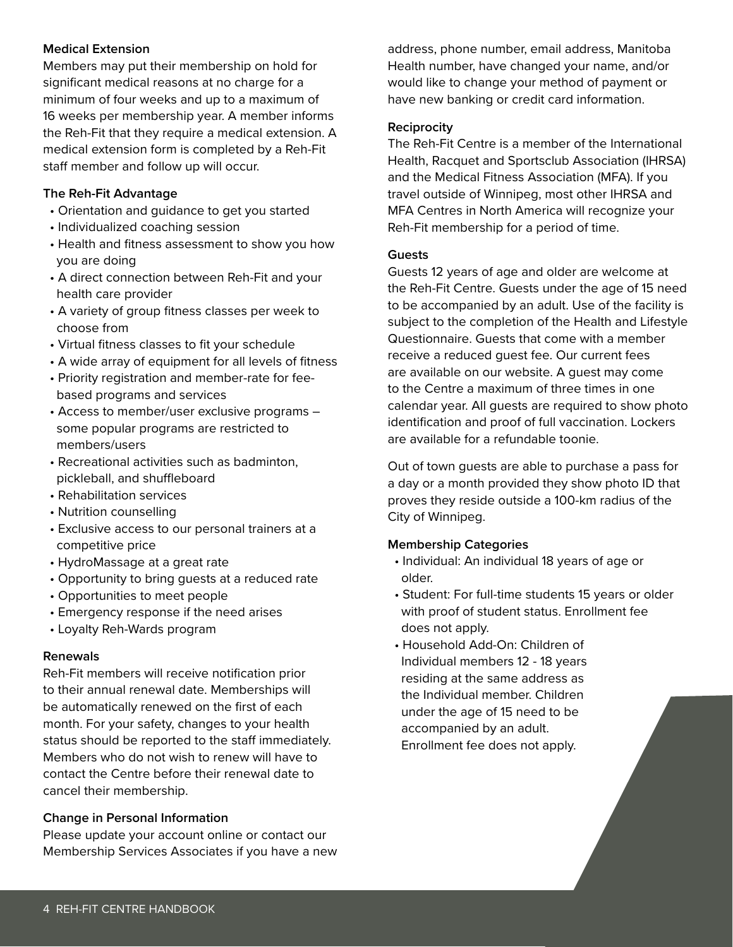#### **Medical Extension**

Members may put their membership on hold for significant medical reasons at no charge for a minimum of four weeks and up to a maximum of 16 weeks per membership year. A member informs the Reh-Fit that they require a medical extension. A medical extension form is completed by a Reh-Fit staff member and follow up will occur.

#### **The Reh-Fit Advantage**

- Orientation and guidance to get you started
- Individualized coaching session
- Health and fitness assessment to show you how you are doing
- A direct connection between Reh-Fit and your health care provider
- A variety of group fitness classes per week to choose from
- Virtual fitness classes to fit your schedule
- A wide array of equipment for all levels of fitness
- Priority registration and member-rate for fee based programs and services
- Access to member/user exclusive programs some popular programs are restricted to members/users
- Recreational activities such as badminton, pickleball, and shuffleboard
- Rehabilitation services
- Nutrition counselling
- Exclusive access to our personal trainers at a competitive price
- HydroMassage at a great rate
- Opportunity to bring guests at a reduced rate
- Opportunities to meet people
- Emergency response if the need arises
- Loyalty Reh-Wards program

#### **Renewals**

Reh-Fit members will receive notification prior to their annual renewal date. Memberships will be automatically renewed on the first of each month. For your safety, changes to your health status should be reported to the staff immediately. Members who do not wish to renew will have to contact the Centre before their renewal date to cancel their membership.

#### **Change in Personal Information**

Please update your account online or contact our Membership Services Associates if you have a new address, phone number, email address, Manitoba Health number, have changed your name, and/or would like to change your method of payment or have new banking or credit card information.

#### **Reciprocity**

The Reh-Fit Centre is a member of the International Health, Racquet and Sportsclub Association (IHRSA) and the Medical Fitness Association (MFA). If you travel outside of Winnipeg, most other IHRSA and MFA Centres in North America will recognize your Reh-Fit membership for a period of time.

#### **Guests**

Guests 12 years of age and older are welcome at the Reh-Fit Centre. Guests under the age of 15 need to be accompanied by an adult. Use of the facility is subject to the completion of the Health and Lifestyle Questionnaire. Guests that come with a member receive a reduced guest fee. Our current fees are available on our website. A guest may come to the Centre a maximum of three times in one calendar year. All guests are required to show photo identification and proof of full vaccination. Lockers are available for a refundable toonie.

Out of town guests are able to purchase a pass for a day or a month provided they show photo ID that proves they reside outside a 100-km radius of the City of Winnipeg.

#### **Membership Categories**

- Individual: An individual 18 years of age or older.
- Student: For full-time students 15 years or older with proof of student status. Enrollment fee does not apply.
- Household Add-On: Children of Individual members 12 - 18 years residing at the same address as the Individual member. Children under the age of 15 need to be accompanied by an adult. Enrollment fee does not apply.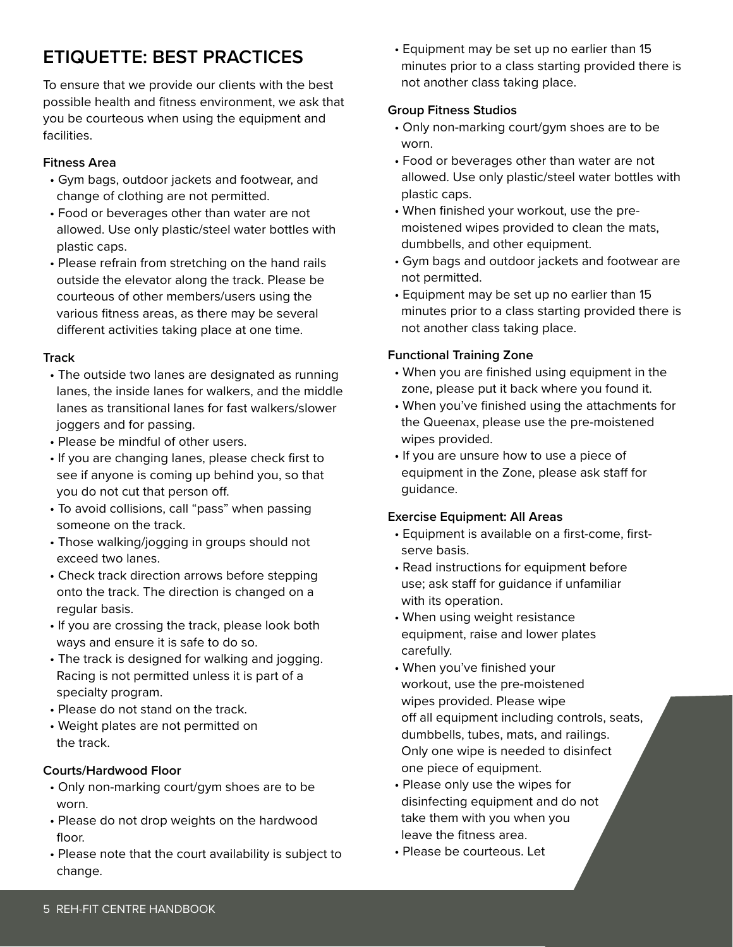# **ETIQUETTE: BEST PRACTICES**

To ensure that we provide our clients with the best possible health and fitness environment, we ask that you be courteous when using the equipment and facilities.

### **Fitness Area**

- Gym bags, outdoor jackets and footwear, and change of clothing are not permitted.
- Food or beverages other than water are not allowed. Use only plastic/steel water bottles with plastic caps.
- Please refrain from stretching on the hand rails outside the elevator along the track. Please be courteous of other members/users using the various fitness areas, as there may be several different activities taking place at one time.

### **Track**

- The outside two lanes are designated as running lanes, the inside lanes for walkers, and the middle lanes as transitional lanes for fast walkers/slower joggers and for passing.
- Please be mindful of other users.
- If you are changing lanes, please check first to see if anyone is coming up behind you, so that you do not cut that person off.
- To avoid collisions, call "pass" when passing someone on the track.
- Those walking/jogging in groups should not exceed two lanes.
- Check track direction arrows before stepping onto the track. The direction is changed on a regular basis.
- If you are crossing the track, please look both ways and ensure it is safe to do so.
- The track is designed for walking and jogging. Racing is not permitted unless it is part of a specialty program.
- Please do not stand on the track.
- Weight plates are not permitted on the track.

#### **Courts/Hardwood Floor**

- Only non-marking court/gym shoes are to be worn.
- Please do not drop weights on the hardwood floor.
- Please note that the court availability is subject to change.

 • Equipment may be set up no earlier than 15 minutes prior to a class starting provided there is not another class taking place.

### **Group Fitness Studios**

- Only non-marking court/gym shoes are to be worn.
- Food or beverages other than water are not allowed. Use only plastic/steel water bottles with plastic caps.
- When finished your workout, use the pre moistened wipes provided to clean the mats, dumbbells, and other equipment.
- Gym bags and outdoor jackets and footwear are not permitted.
- Equipment may be set up no earlier than 15 minutes prior to a class starting provided there is not another class taking place.

## **Functional Training Zone**

- When you are finished using equipment in the zone, please put it back where you found it.
- When you've finished using the attachments for the Queenax, please use the pre-moistened wipes provided.
- If you are unsure how to use a piece of equipment in the Zone, please ask staff for guidance.

## **Exercise Equipment: All Areas**

- Equipment is available on a first-come, first serve basis.
- Read instructions for equipment before use; ask staff for guidance if unfamiliar with its operation.
- When using weight resistance equipment, raise and lower plates carefully.
- When you've finished your workout, use the pre-moistened wipes provided. Please wipe off all equipment including controls, seats, dumbbells, tubes, mats, and railings. Only one wipe is needed to disinfect one piece of equipment.
- Please only use the wipes for disinfecting equipment and do not take them with you when you leave the fitness area.
- Please be courteous. Let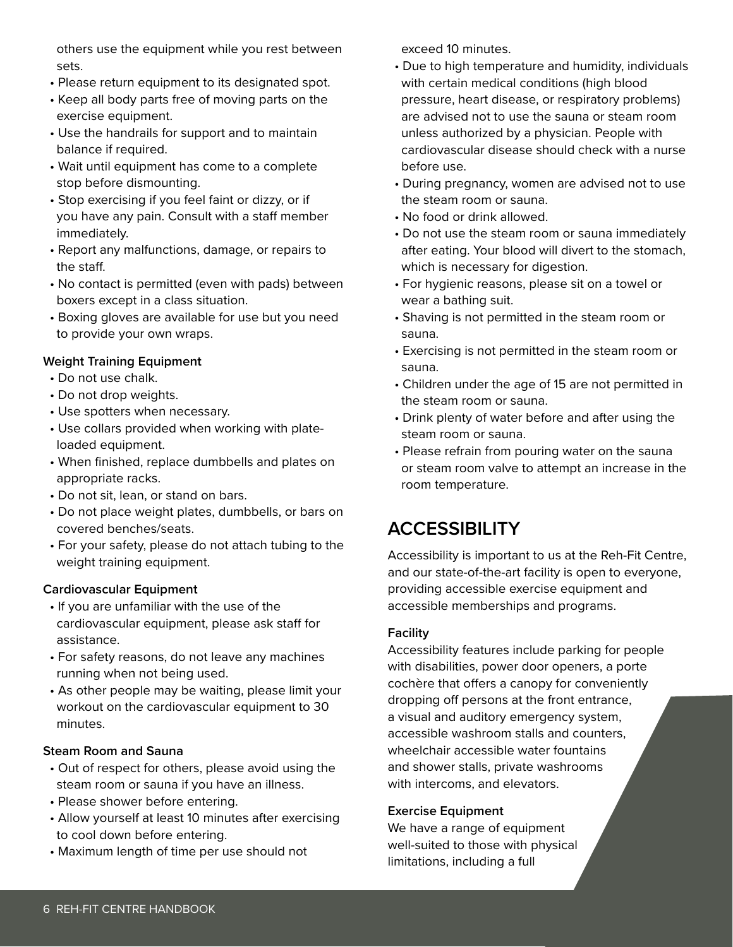others use the equipment while you rest between sets.

- Please return equipment to its designated spot.
- Keep all body parts free of moving parts on the exercise equipment.
- Use the handrails for support and to maintain balance if required.
- Wait until equipment has come to a complete stop before dismounting.
- Stop exercising if you feel faint or dizzy, or if you have any pain. Consult with a staff member immediately.
- Report any malfunctions, damage, or repairs to the staff.
- No contact is permitted (even with pads) between boxers except in a class situation.
- Boxing gloves are available for use but you need to provide your own wraps.

### **Weight Training Equipment**

- Do not use chalk.
- Do not drop weights.
- Use spotters when necessary.
- Use collars provided when working with plate loaded equipment.
- When finished, replace dumbbells and plates on appropriate racks.
- Do not sit, lean, or stand on bars.
- Do not place weight plates, dumbbells, or bars on covered benches/seats.
- For your safety, please do not attach tubing to the weight training equipment.

#### **Cardiovascular Equipment**

- If you are unfamiliar with the use of the cardiovascular equipment, please ask staff for assistance.
- For safety reasons, do not leave any machines running when not being used.
- As other people may be waiting, please limit your workout on the cardiovascular equipment to 30 minutes.

#### **Steam Room and Sauna**

- Out of respect for others, please avoid using the steam room or sauna if you have an illness.
- Please shower before entering.
- Allow yourself at least 10 minutes after exercising to cool down before entering.
- Maximum length of time per use should not

exceed 10 minutes.

- Due to high temperature and humidity, individuals with certain medical conditions (high blood pressure, heart disease, or respiratory problems) are advised not to use the sauna or steam room unless authorized by a physician. People with cardiovascular disease should check with a nurse before use.
- During pregnancy, women are advised not to use the steam room or sauna.
- No food or drink allowed.
- Do not use the steam room or sauna immediately after eating. Your blood will divert to the stomach, which is necessary for digestion.
- For hygienic reasons, please sit on a towel or wear a bathing suit.
- Shaving is not permitted in the steam room or sauna.
- Exercising is not permitted in the steam room or sauna.
- Children under the age of 15 are not permitted in the steam room or sauna.
- Drink plenty of water before and after using the steam room or sauna.
- Please refrain from pouring water on the sauna or steam room valve to attempt an increase in the room temperature.

# **ACCESSIBILITY**

Accessibility is important to us at the Reh-Fit Centre, and our state-of-the-art facility is open to everyone, providing accessible exercise equipment and accessible memberships and programs.

#### **Facility**

Accessibility features include parking for people with disabilities, power door openers, a porte cochère that offers a canopy for conveniently dropping off persons at the front entrance, a visual and auditory emergency system, accessible washroom stalls and counters, wheelchair accessible water fountains and shower stalls, private washrooms with intercoms, and elevators.

#### **Exercise Equipment**

We have a range of equipment well-suited to those with physical limitations, including a full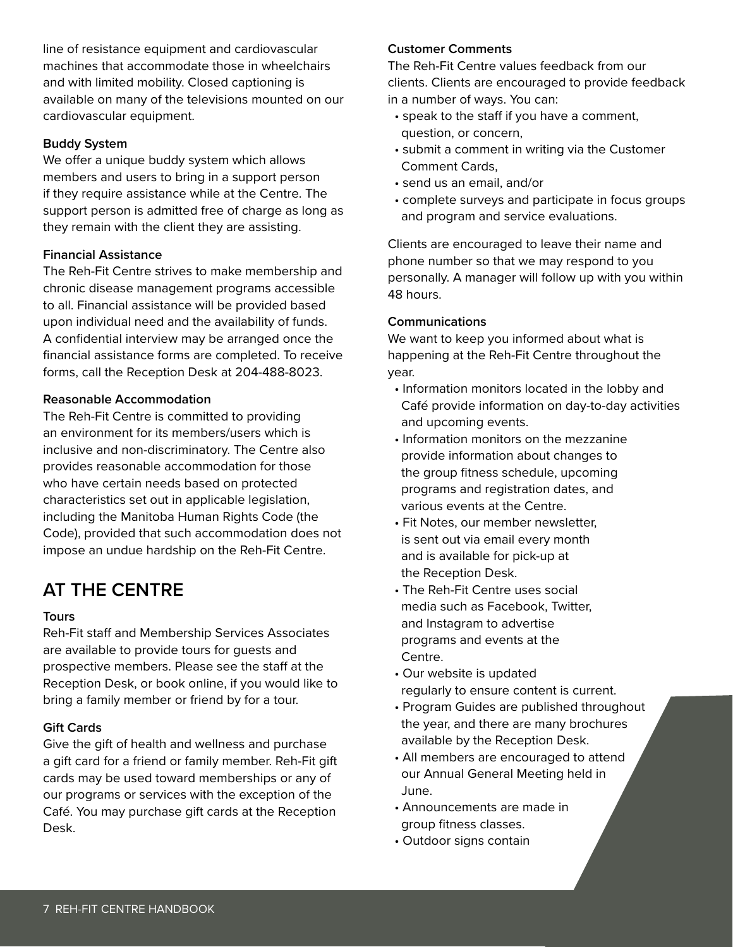line of resistance equipment and cardiovascular machines that accommodate those in wheelchairs and with limited mobility. Closed captioning is available on many of the televisions mounted on our cardiovascular equipment.

#### **Buddy System**

We offer a unique buddy system which allows members and users to bring in a support person if they require assistance while at the Centre. The support person is admitted free of charge as long as they remain with the client they are assisting.

#### **Financial Assistance**

The Reh-Fit Centre strives to make membership and chronic disease management programs accessible to all. Financial assistance will be provided based upon individual need and the availability of funds. A confidential interview may be arranged once the financial assistance forms are completed. To receive forms, call the Reception Desk at 204-488-8023.

#### **Reasonable Accommodation**

The Reh-Fit Centre is committed to providing an environment for its members/users which is inclusive and non-discriminatory. The Centre also provides reasonable accommodation for those who have certain needs based on protected characteristics set out in applicable legislation, including the Manitoba Human Rights Code (the Code), provided that such accommodation does not impose an undue hardship on the Reh-Fit Centre.

# **AT THE CENTRE**

#### **Tours**

Reh-Fit staff and Membership Services Associates are available to provide tours for guests and prospective members. Please see the staff at the Reception Desk, or book online, if you would like to bring a family member or friend by for a tour.

#### **Gift Cards**

Give the gift of health and wellness and purchase a gift card for a friend or family member. Reh-Fit gift cards may be used toward memberships or any of our programs or services with the exception of the Café. You may purchase gift cards at the Reception Desk.

#### **Customer Comments**

The Reh-Fit Centre values feedback from our clients. Clients are encouraged to provide feedback in a number of ways. You can:

- speak to the staff if you have a comment, question, or concern,
- submit a comment in writing via the Customer Comment Cards,
- send us an email, and/or
- complete surveys and participate in focus groups and program and service evaluations.

Clients are encouraged to leave their name and phone number so that we may respond to you personally. A manager will follow up with you within 48 hours.

#### **Communications**

We want to keep you informed about what is happening at the Reh-Fit Centre throughout the year.

- Information monitors located in the lobby and Café provide information on day-to-day activities and upcoming events.
- Information monitors on the mezzanine provide information about changes to the group fitness schedule, upcoming programs and registration dates, and various events at the Centre.
- Fit Notes, our member newsletter, is sent out via email every month and is available for pick-up at the Reception Desk.
- The Reh-Fit Centre uses social media such as Facebook, Twitter, and Instagram to advertise programs and events at the Centre.
- Our website is updated regularly to ensure content is current.
- Program Guides are published throughout the year, and there are many brochures available by the Reception Desk.
- All members are encouraged to attend our Annual General Meeting held in June.
- Announcements are made in group fitness classes.
- Outdoor signs contain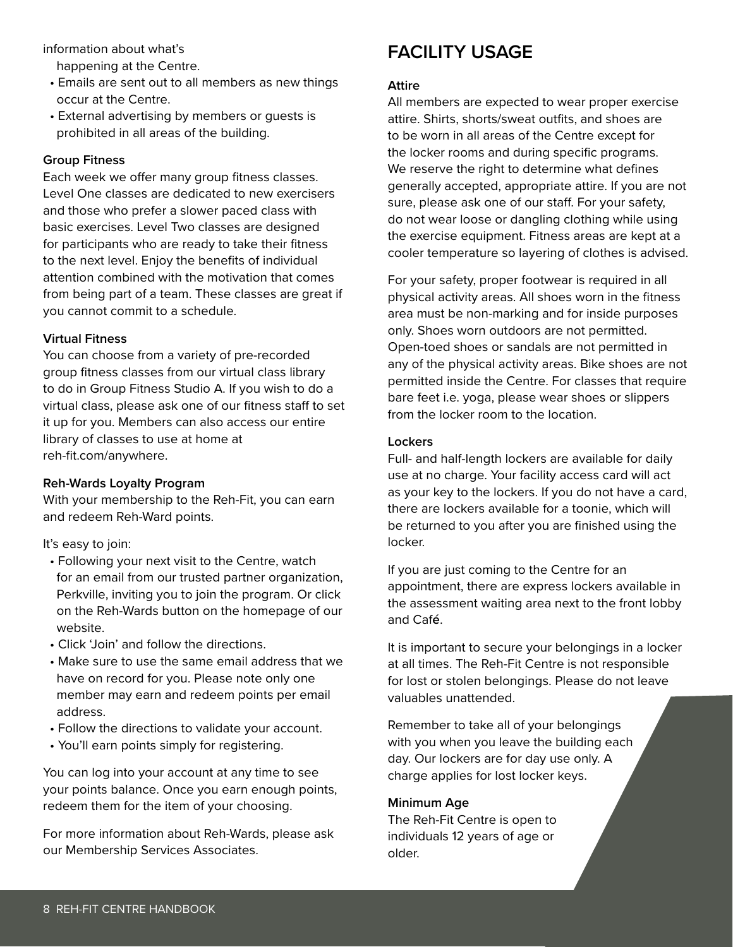information about what's

happening at the Centre.

- Emails are sent out to all members as new things occur at the Centre.
- External advertising by members or guests is prohibited in all areas of the building.

#### **Group Fitness**

Each week we offer many group fitness classes. Level One classes are dedicated to new exercisers and those who prefer a slower paced class with basic exercises. Level Two classes are designed for participants who are ready to take their fitness to the next level. Enjoy the benefits of individual attention combined with the motivation that comes from being part of a team. These classes are great if you cannot commit to a schedule.

#### **Virtual Fitness**

You can choose from a variety of pre-recorded group fitness classes from our virtual class library to do in Group Fitness Studio A. If you wish to do a virtual class, please ask one of our fitness staff to set it up for you. Members can also access our entire library of classes to use at home at reh-fit.com/anywhere.

#### **Reh-Wards Loyalty Program**

With your membership to the Reh-Fit, you can earn and redeem Reh-Ward points.

It's easy to join:

- Following your next visit to the Centre, watch for an email from our trusted partner organization, Perkville, inviting you to join the program. Or click on the Reh-Wards button on the homepage of our website.
- Click 'Join' and follow the directions.
- Make sure to use the same email address that we have on record for you. Please note only one member may earn and redeem points per email address.
- Follow the directions to validate your account.
- You'll earn points simply for registering.

You can log into your account at any time to see your points balance. Once you earn enough points, redeem them for the item of your choosing.

For more information about Reh-Wards, please ask our Membership Services Associates.

## **FACILITY USAGE**

#### **Attire**

All members are expected to wear proper exercise attire. Shirts, shorts/sweat outfits, and shoes are to be worn in all areas of the Centre except for the locker rooms and during specific programs. We reserve the right to determine what defines generally accepted, appropriate attire. If you are not sure, please ask one of our staff. For your safety, do not wear loose or dangling clothing while using the exercise equipment. Fitness areas are kept at a cooler temperature so layering of clothes is advised.

For your safety, proper footwear is required in all physical activity areas. All shoes worn in the fitness area must be non-marking and for inside purposes only. Shoes worn outdoors are not permitted. Open-toed shoes or sandals are not permitted in any of the physical activity areas. Bike shoes are not permitted inside the Centre. For classes that require bare feet i.e. yoga, please wear shoes or slippers from the locker room to the location.

#### **Lockers**

Full- and half-length lockers are available for daily use at no charge. Your facility access card will act as your key to the lockers. If you do not have a card, there are lockers available for a toonie, which will be returned to you after you are finished using the locker.

If you are just coming to the Centre for an appointment, there are express lockers available in the assessment waiting area next to the front lobby and Caf**é**.

It is important to secure your belongings in a locker at all times. The Reh-Fit Centre is not responsible for lost or stolen belongings. Please do not leave valuables unattended.

Remember to take all of your belongings with you when you leave the building each day. Our lockers are for day use only. A charge applies for lost locker keys.

#### **Minimum Age**

The Reh-Fit Centre is open to individuals 12 years of age or older.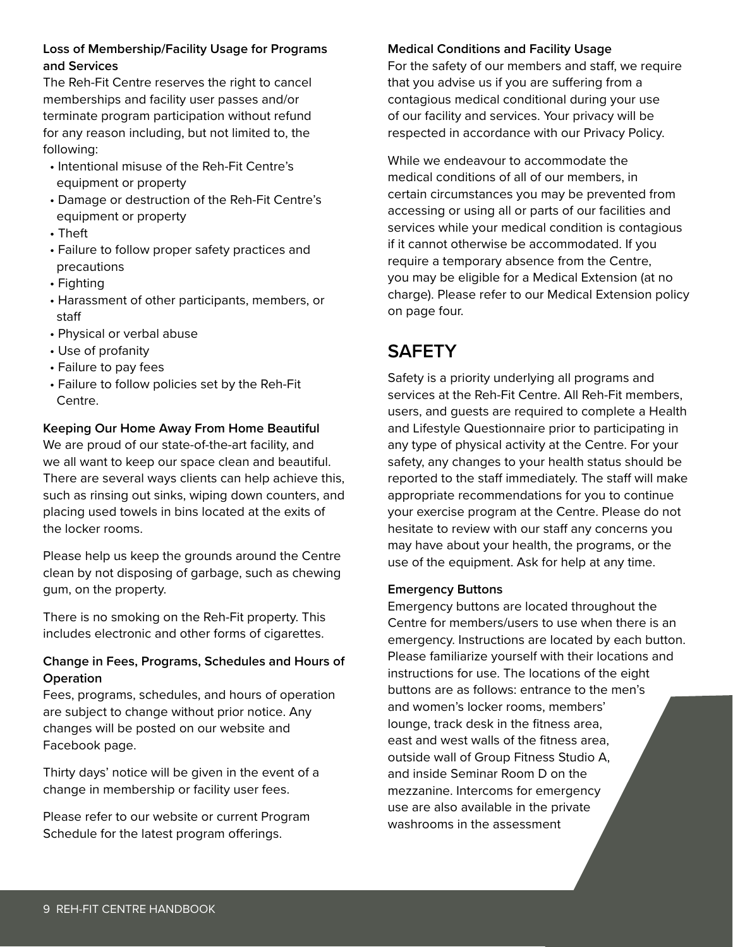### **Loss of Membership/Facility Usage for Programs and Services**

The Reh-Fit Centre reserves the right to cancel memberships and facility user passes and/or terminate program participation without refund for any reason including, but not limited to, the following:

- Intentional misuse of the Reh-Fit Centre's equipment or property
- Damage or destruction of the Reh-Fit Centre's equipment or property
- Theft
- Failure to follow proper safety practices and precautions
- Fighting
- Harassment of other participants, members, or staff
- Physical or verbal abuse
- Use of profanity
- Failure to pay fees
- Failure to follow policies set by the Reh-Fit Centre.

## **Keeping Our Home Away From Home Beautiful**

We are proud of our state-of-the-art facility, and we all want to keep our space clean and beautiful. There are several ways clients can help achieve this, such as rinsing out sinks, wiping down counters, and placing used towels in bins located at the exits of the locker rooms.

Please help us keep the grounds around the Centre clean by not disposing of garbage, such as chewing gum, on the property.

There is no smoking on the Reh-Fit property. This includes electronic and other forms of cigarettes.

## **Change in Fees, Programs, Schedules and Hours of Operation**

Fees, programs, schedules, and hours of operation are subject to change without prior notice. Any changes will be posted on our website and Facebook page.

Thirty days' notice will be given in the event of a change in membership or facility user fees.

Please refer to our website or current Program Schedule for the latest program offerings.

## **Medical Conditions and Facility Usage**

For the safety of our members and staff, we require that you advise us if you are suffering from a contagious medical conditional during your use of our facility and services. Your privacy will be respected in accordance with our Privacy Policy.

While we endeavour to accommodate the medical conditions of all of our members, in certain circumstances you may be prevented from accessing or using all or parts of our facilities and services while your medical condition is contagious if it cannot otherwise be accommodated. If you require a temporary absence from the Centre, you may be eligible for a Medical Extension (at no charge). Please refer to our Medical Extension policy on page four.

## **SAFETY**

Safety is a priority underlying all programs and services at the Reh-Fit Centre. All Reh-Fit members, users, and guests are required to complete a Health and Lifestyle Questionnaire prior to participating in any type of physical activity at the Centre. For your safety, any changes to your health status should be reported to the staff immediately. The staff will make appropriate recommendations for you to continue your exercise program at the Centre. Please do not hesitate to review with our staff any concerns you may have about your health, the programs, or the use of the equipment. Ask for help at any time.

## **Emergency Buttons**

Emergency buttons are located throughout the Centre for members/users to use when there is an emergency. Instructions are located by each button. Please familiarize yourself with their locations and instructions for use. The locations of the eight buttons are as follows: entrance to the men's and women's locker rooms, members' lounge, track desk in the fitness area, east and west walls of the fitness area, outside wall of Group Fitness Studio A, and inside Seminar Room D on the mezzanine. Intercoms for emergency use are also available in the private washrooms in the assessment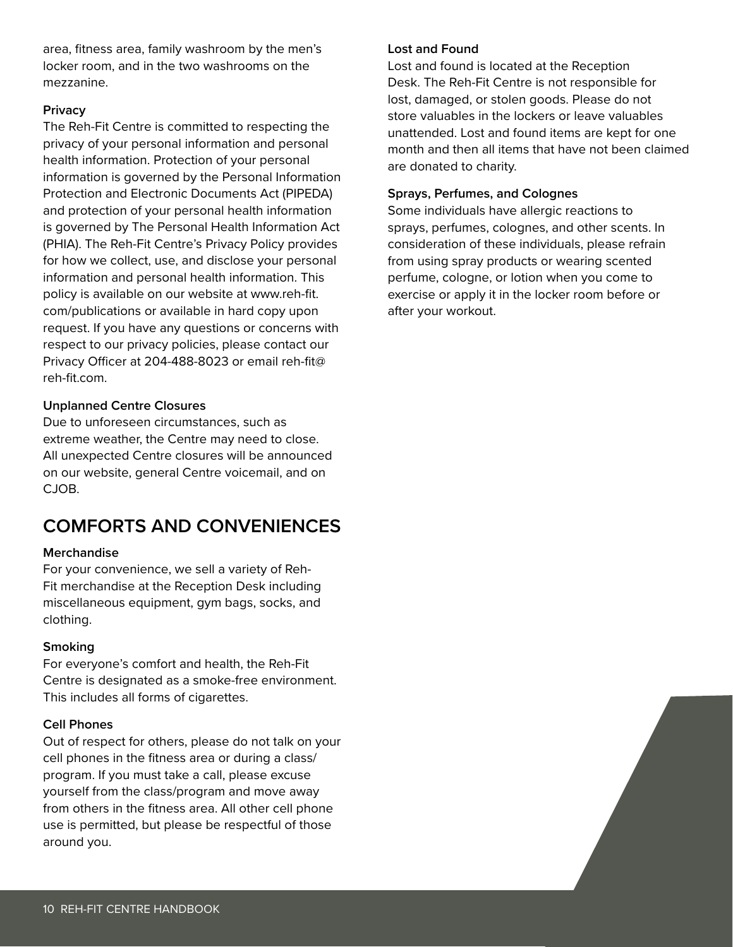area, fitness area, family washroom by the men's locker room, and in the two washrooms on the mezzanine.

#### **Privacy**

The Reh-Fit Centre is committed to respecting the privacy of your personal information and personal health information. Protection of your personal information is governed by the Personal Information Protection and Electronic Documents Act (PIPEDA) and protection of your personal health information is governed by The Personal Health Information Act (PHIA). The Reh-Fit Centre's Privacy Policy provides for how we collect, use, and disclose your personal information and personal health information. This policy is available on our website at www.reh-fit. com/publications or available in hard copy upon request. If you have any questions or concerns with respect to our privacy policies, please contact our Privacy Officer at 204-488-8023 or email reh-fit@ reh-fit.com.

#### **Unplanned Centre Closures**

Due to unforeseen circumstances, such as extreme weather, the Centre may need to close. All unexpected Centre closures will be announced on our website, general Centre voicemail, and on CJOB.

## **COMFORTS AND CONVENIENCES**

#### **Merchandise**

For your convenience, we sell a variety of Reh-Fit merchandise at the Reception Desk including miscellaneous equipment, gym bags, socks, and clothing.

#### **Smoking**

For everyone's comfort and health, the Reh-Fit Centre is designated as a smoke-free environment. This includes all forms of cigarettes.

#### **Cell Phones**

Out of respect for others, please do not talk on your cell phones in the fitness area or during a class/ program. If you must take a call, please excuse yourself from the class/program and move away from others in the fitness area. All other cell phone use is permitted, but please be respectful of those around you.

#### **Lost and Found**

Lost and found is located at the Reception Desk. The Reh-Fit Centre is not responsible for lost, damaged, or stolen goods. Please do not store valuables in the lockers or leave valuables unattended. Lost and found items are kept for one month and then all items that have not been claimed are donated to charity.

#### **Sprays, Perfumes, and Colognes**

Some individuals have allergic reactions to sprays, perfumes, colognes, and other scents. In consideration of these individuals, please refrain from using spray products or wearing scented perfume, cologne, or lotion when you come to exercise or apply it in the locker room before or after your workout.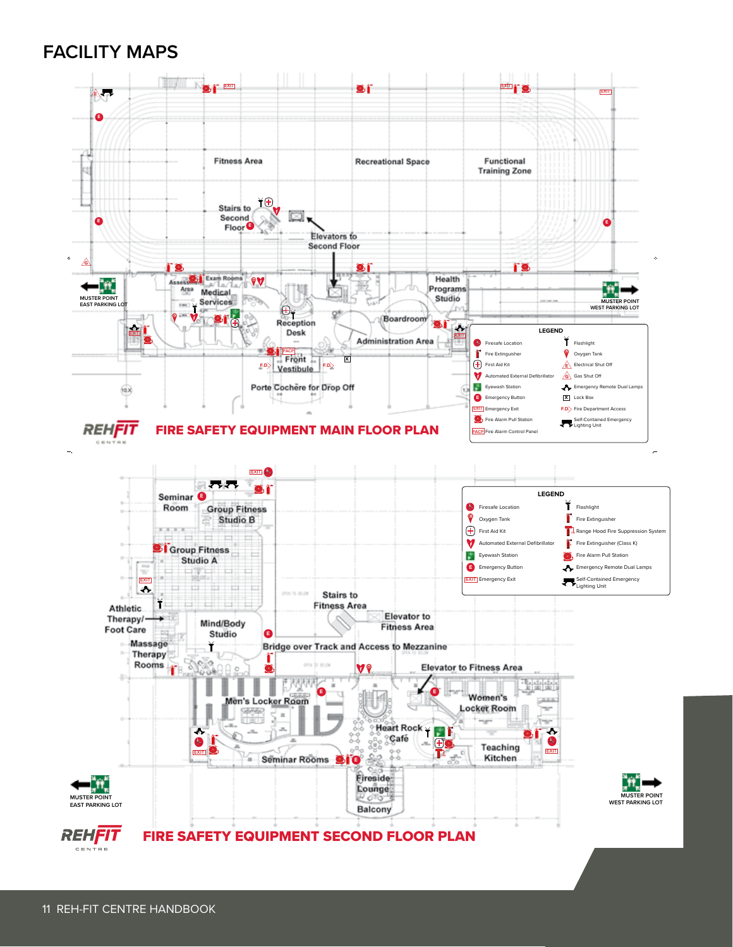## **FACILITY MAPS**

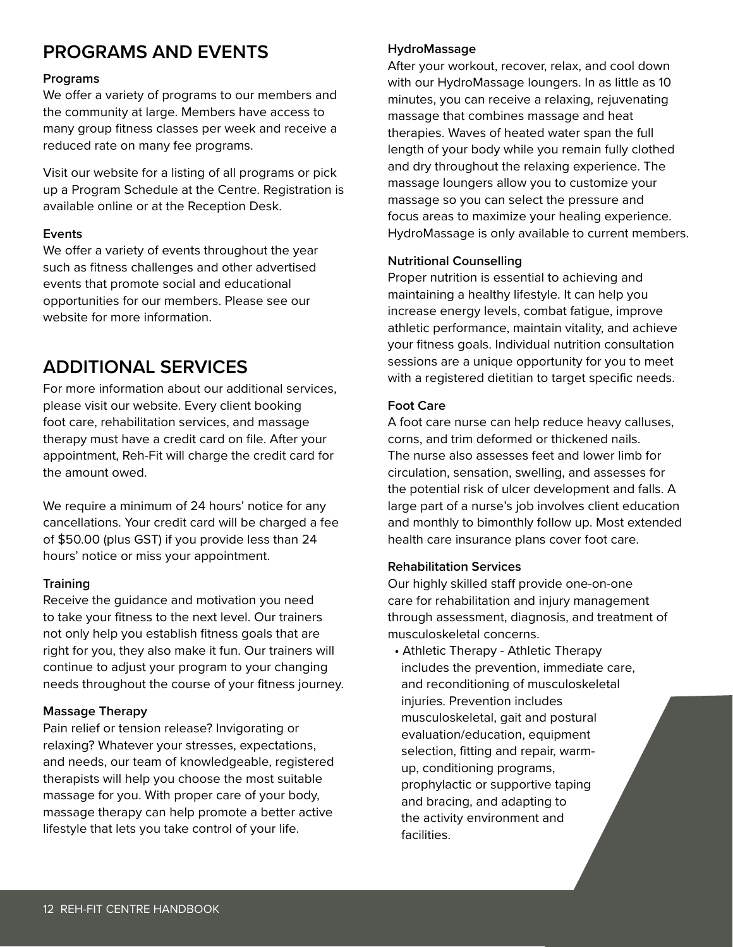# **PROGRAMS AND EVENTS**

#### **Programs**

We offer a variety of programs to our members and the community at large. Members have access to many group fitness classes per week and receive a reduced rate on many fee programs.

Visit our website for a listing of all programs or pick up a Program Schedule at the Centre. Registration is available online or at the Reception Desk.

#### **Events**

We offer a variety of events throughout the year such as fitness challenges and other advertised events that promote social and educational opportunities for our members. Please see our website for more information.

# **ADDITIONAL SERVICES**

For more information about our additional services, please visit our website. Every client booking foot care, rehabilitation services, and massage therapy must have a credit card on file. After your appointment, Reh-Fit will charge the credit card for the amount owed.

We require a minimum of 24 hours' notice for any cancellations. Your credit card will be charged a fee of \$50.00 (plus GST) if you provide less than 24 hours' notice or miss your appointment.

#### **Training**

Receive the guidance and motivation you need to take your fitness to the next level. Our trainers not only help you establish fitness goals that are right for you, they also make it fun. Our trainers will continue to adjust your program to your changing needs throughout the course of your fitness journey.

#### **Massage Therapy**

Pain relief or tension release? Invigorating or relaxing? Whatever your stresses, expectations, and needs, our team of knowledgeable, registered therapists will help you choose the most suitable massage for you. With proper care of your body, massage therapy can help promote a better active lifestyle that lets you take control of your life.

#### **HydroMassage**

After your workout, recover, relax, and cool down with our HydroMassage loungers. In as little as 10 minutes, you can receive a relaxing, rejuvenating massage that combines massage and heat therapies. Waves of heated water span the full length of your body while you remain fully clothed and dry throughout the relaxing experience. The massage loungers allow you to customize your massage so you can select the pressure and focus areas to maximize your healing experience. HydroMassage is only available to current members.

#### **Nutritional Counselling**

Proper nutrition is essential to achieving and maintaining a healthy lifestyle. It can help you increase energy levels, combat fatigue, improve athletic performance, maintain vitality, and achieve your fitness goals. Individual nutrition consultation sessions are a unique opportunity for you to meet with a registered dietitian to target specific needs.

#### **Foot Care**

A foot care nurse can help reduce heavy calluses, corns, and trim deformed or thickened nails. The nurse also assesses feet and lower limb for circulation, sensation, swelling, and assesses for the potential risk of ulcer development and falls. A large part of a nurse's job involves client education and monthly to bimonthly follow up. Most extended health care insurance plans cover foot care.

#### **Rehabilitation Services**

Our highly skilled staff provide one-on-one care for rehabilitation and injury management through assessment, diagnosis, and treatment of musculoskeletal concerns.

 • Athletic Therapy - Athletic Therapy includes the prevention, immediate care, and reconditioning of musculoskeletal injuries. Prevention includes musculoskeletal, gait and postural evaluation/education, equipment selection, fitting and repair, warm up, conditioning programs, prophylactic or supportive taping and bracing, and adapting to the activity environment and facilities.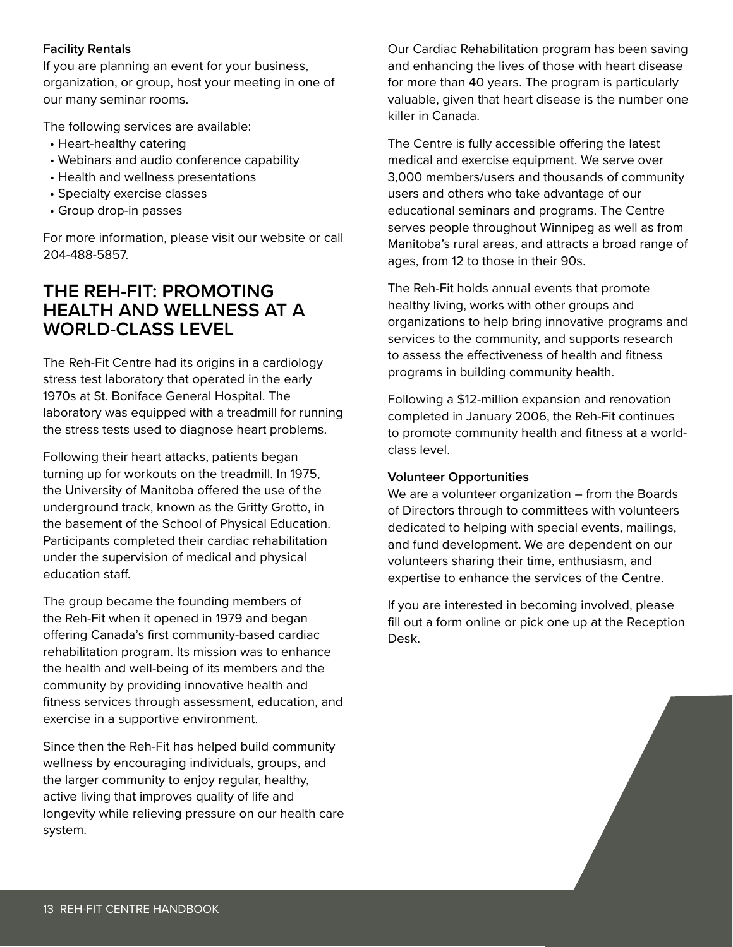#### **Facility Rentals**

If you are planning an event for your business, organization, or group, host your meeting in one of our many seminar rooms.

The following services are available:

- Heart-healthy catering
- Webinars and audio conference capability
- Health and wellness presentations
- Specialty exercise classes
- Group drop-in passes

For more information, please visit our website or call 204-488-5857.

## **THE REH-FIT: PROMOTING HEALTH AND WELLNESS AT A WORLD-CLASS LEVEL**

The Reh-Fit Centre had its origins in a cardiology stress test laboratory that operated in the early 1970s at St. Boniface General Hospital. The laboratory was equipped with a treadmill for running the stress tests used to diagnose heart problems.

Following their heart attacks, patients began turning up for workouts on the treadmill. In 1975, the University of Manitoba offered the use of the underground track, known as the Gritty Grotto, in the basement of the School of Physical Education. Participants completed their cardiac rehabilitation under the supervision of medical and physical education staff.

The group became the founding members of the Reh-Fit when it opened in 1979 and began offering Canada's first community-based cardiac rehabilitation program. Its mission was to enhance the health and well-being of its members and the community by providing innovative health and fitness services through assessment, education, and exercise in a supportive environment.

Since then the Reh-Fit has helped build community wellness by encouraging individuals, groups, and the larger community to enjoy regular, healthy, active living that improves quality of life and longevity while relieving pressure on our health care system.

Our Cardiac Rehabilitation program has been saving and enhancing the lives of those with heart disease for more than 40 years. The program is particularly valuable, given that heart disease is the number one killer in Canada.

The Centre is fully accessible offering the latest medical and exercise equipment. We serve over 3,000 members/users and thousands of community users and others who take advantage of our educational seminars and programs. The Centre serves people throughout Winnipeg as well as from Manitoba's rural areas, and attracts a broad range of ages, from 12 to those in their 90s.

The Reh-Fit holds annual events that promote healthy living, works with other groups and organizations to help bring innovative programs and services to the community, and supports research to assess the effectiveness of health and fitness programs in building community health.

Following a \$12-million expansion and renovation completed in January 2006, the Reh-Fit continues to promote community health and fitness at a worldclass level.

#### **Volunteer Opportunities**

We are a volunteer organization – from the Boards of Directors through to committees with volunteers dedicated to helping with special events, mailings, and fund development. We are dependent on our volunteers sharing their time, enthusiasm, and expertise to enhance the services of the Centre.

If you are interested in becoming involved, please fill out a form online or pick one up at the Reception Desk.